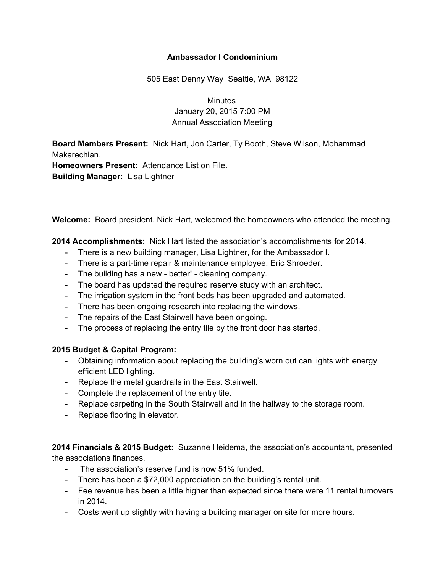## **Ambassador I Condominium**

505 East Denny Way Seattle, WA 98122

**Minutes** January 20, 2015 7:00 PM Annual Association Meeting

**Board Members Present:** Nick Hart, Jon Carter, Ty Booth, Steve Wilson, Mohammad Makarechian.

**Homeowners Present:** Attendance List on File. **Building Manager:** Lisa Lightner

**Welcome:** Board president, Nick Hart, welcomed the homeowners who attended the meeting.

**2014 Accomplishments:** Nick Hart listed the association's accomplishments for 2014.

- There is a new building manager, Lisa Lightner, for the Ambassador I.
- There is a part-time repair & maintenance employee, Eric Shroeder.
- The building has a new better! cleaning company.
- The board has updated the required reserve study with an architect.
- The irrigation system in the front beds has been upgraded and automated.
- There has been ongoing research into replacing the windows.
- The repairs of the East Stairwell have been ongoing.
- The process of replacing the entry tile by the front door has started.

## **2015 Budget & Capital Program:**

- Obtaining information about replacing the building's worn out can lights with energy efficient LED lighting.
- Replace the metal guardrails in the East Stairwell.
- Complete the replacement of the entry tile.
- Replace carpeting in the South Stairwell and in the hallway to the storage room.
- Replace flooring in elevator.

**2014 Financials & 2015 Budget:** Suzanne Heidema, the association's accountant, presented the associations finances.

- The association's reserve fund is now 51% funded.
- There has been a \$72,000 appreciation on the building's rental unit.
- Fee revenue has been a little higher than expected since there were 11 rental turnovers in 2014.
- Costs went up slightly with having a building manager on site for more hours.